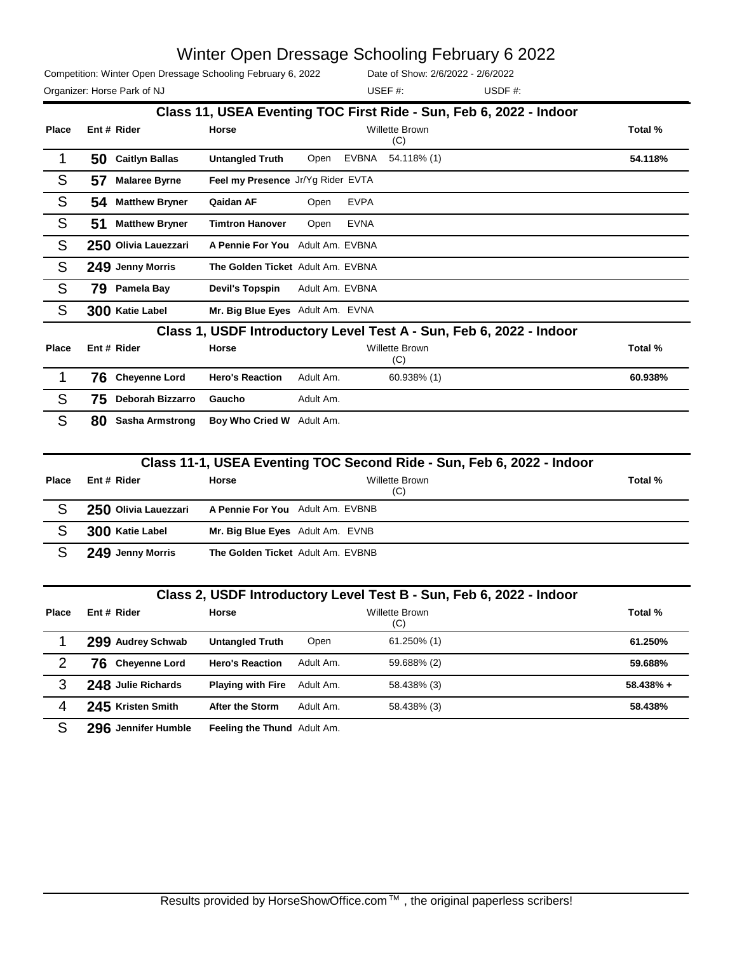Competition: Winter Open Dressage Schooling February 6, 2022

Date of Show: 2/6/2022 - 2/6/2022

Organizer: Horse Park of NJ and Solid Muslim and Solid USDF and USDF #: USEF #:

|              | Class 11, USEA Eventing TOC First Ride - Sun, Feb 6, 2022 - Indoor |                         |                                   |                 |              |                                                                       |         |  |  |  |
|--------------|--------------------------------------------------------------------|-------------------------|-----------------------------------|-----------------|--------------|-----------------------------------------------------------------------|---------|--|--|--|
| <b>Place</b> |                                                                    | Ent # Rider             | <b>Horse</b>                      |                 |              | <b>Willette Brown</b>                                                 | Total % |  |  |  |
|              |                                                                    |                         |                                   |                 |              | (C)                                                                   |         |  |  |  |
| 1            | 50                                                                 | <b>Caitlyn Ballas</b>   | <b>Untangled Truth</b>            | Open            | <b>EVBNA</b> | 54.118% (1)                                                           | 54.118% |  |  |  |
| S            | 57                                                                 | <b>Malaree Byrne</b>    | Feel my Presence Jr/Yg Rider EVTA |                 |              |                                                                       |         |  |  |  |
| S            | 54                                                                 | <b>Matthew Bryner</b>   | Qaidan AF                         | Open            | <b>EVPA</b>  |                                                                       |         |  |  |  |
| S            | 51                                                                 | <b>Matthew Bryner</b>   | <b>Timtron Hanover</b>            | Open            | <b>EVNA</b>  |                                                                       |         |  |  |  |
| S            |                                                                    | 250 Olivia Lauezzari    | A Pennie For You Adult Am. EVBNA  |                 |              |                                                                       |         |  |  |  |
| S            |                                                                    | 249 Jenny Morris        | The Golden Ticket Adult Am. EVBNA |                 |              |                                                                       |         |  |  |  |
| S            | 79                                                                 | Pamela Bay              | <b>Devil's Topspin</b>            | Adult Am. EVBNA |              |                                                                       |         |  |  |  |
| S            |                                                                    | 300 Katie Label         | Mr. Big Blue Eyes Adult Am. EVNA  |                 |              |                                                                       |         |  |  |  |
|              |                                                                    |                         |                                   |                 |              | Class 1, USDF Introductory Level Test A - Sun, Feb 6, 2022 - Indoor   |         |  |  |  |
| <b>Place</b> |                                                                    | Ent # Rider             | <b>Horse</b>                      |                 |              | Willette Brown<br>(C)                                                 | Total % |  |  |  |
| 1            | 76                                                                 | <b>Cheyenne Lord</b>    | <b>Hero's Reaction</b>            | Adult Am.       |              | 60.938% (1)                                                           | 60.938% |  |  |  |
| S            | 75                                                                 | <b>Deborah Bizzarro</b> | Gaucho                            | Adult Am.       |              |                                                                       |         |  |  |  |
| S            | 80                                                                 | <b>Sasha Armstrong</b>  | Boy Who Cried W Adult Am.         |                 |              |                                                                       |         |  |  |  |
|              |                                                                    |                         |                                   |                 |              |                                                                       |         |  |  |  |
|              |                                                                    |                         |                                   |                 |              | Class 11-1, USEA Eventing TOC Second Ride - Sun, Feb 6, 2022 - Indoor |         |  |  |  |
| <b>Place</b> |                                                                    | Ent # Rider             | Horse                             |                 |              | <b>Willette Brown</b><br>(C)                                          | Total % |  |  |  |
| S            |                                                                    | 250 Olivia Lauezzari    | A Pennie For You Adult Am. EVBNB  |                 |              |                                                                       |         |  |  |  |
| S            |                                                                    | 300 Katie Label         | Mr. Big Blue Eyes Adult Am. EVNB  |                 |              |                                                                       |         |  |  |  |

|              |                             |                          |           | Class 2, USDF Introductory Level Test B - Sun, Feb 6, 2022 - Indoor |             |
|--------------|-----------------------------|--------------------------|-----------|---------------------------------------------------------------------|-------------|
| <b>Place</b> | Ent # Rider                 | Horse                    |           | <b>Willette Brown</b><br>(C)                                        | Total %     |
|              | 299 Audrey Schwab           | <b>Untangled Truth</b>   | Open      | $61.250\%$ (1)                                                      | 61.250%     |
|              | <b>Chevenne Lord</b><br>76. | <b>Hero's Reaction</b>   | Adult Am. | 59.688% (2)                                                         | 59.688%     |
| 3            | 248 Julie Richards          | <b>Playing with Fire</b> | Adult Am. | 58.438% (3)                                                         | $58.438% +$ |
| 4            | 245 Kristen Smith           | <b>After the Storm</b>   | Adult Am. | 58.438% (3)                                                         | 58.438%     |

S **296 Jennifer Humble Feeling the Thund** Adult Am.

S **249 Jenny Morris The Golden Ticket** Adult Am. EVBNB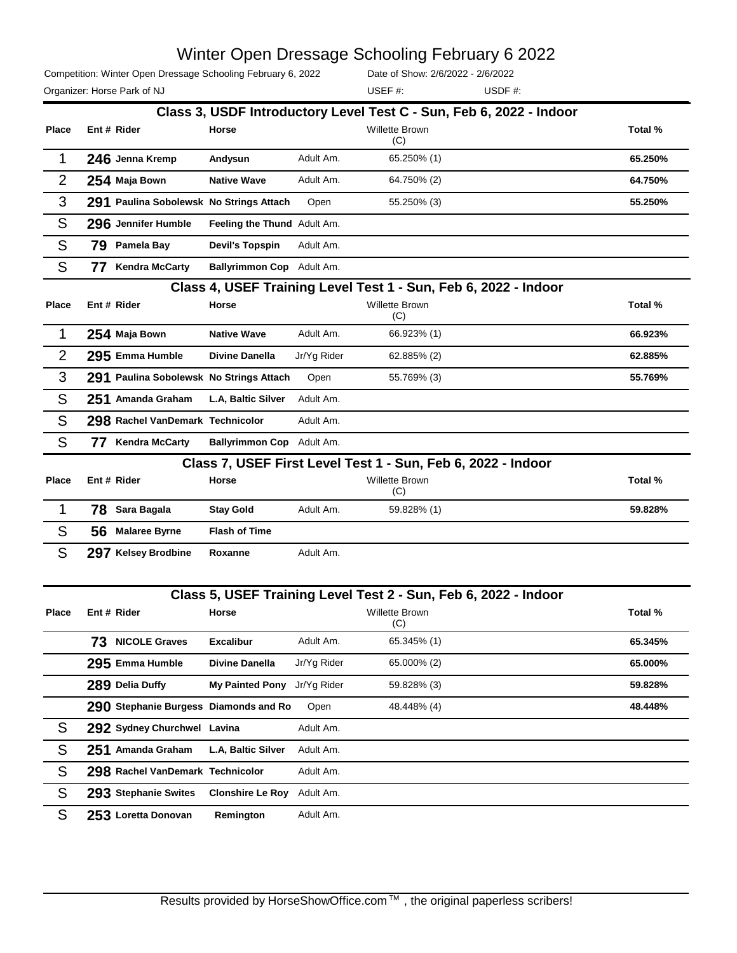Competition: Winter Open Dressage Schooling February 6, 2022

Date of Show: 2/6/2022 - 2/6/2022

Organizer: Horse Park of NJ and Solid Muslim and Muslim USDF #: USDF #: USEF #:

|                |                                         |                             |             | Class 3, USDF Introductory Level Test C - Sun, Feb 6, 2022 - Indoor |         |
|----------------|-----------------------------------------|-----------------------------|-------------|---------------------------------------------------------------------|---------|
| <b>Place</b>   | Ent # Rider                             | Horse                       |             | Willette Brown<br>(C)                                               | Total % |
| 1              | 246 Jenna Kremp                         | Andysun                     | Adult Am.   | 65.250% (1)                                                         | 65.250% |
| $\overline{2}$ | 254 Maja Bown                           | <b>Native Wave</b>          | Adult Am.   | 64.750% (2)                                                         | 64.750% |
| 3              | 291 Paulina Sobolewsk No Strings Attach |                             | Open        | 55.250% (3)                                                         | 55.250% |
| S              | 296 Jennifer Humble                     | Feeling the Thund Adult Am. |             |                                                                     |         |
| S              | 79 Pamela Bay                           | <b>Devil's Topspin</b>      | Adult Am.   |                                                                     |         |
| S              | <b>Kendra McCarty</b><br>77             | Ballyrimmon Cop Adult Am.   |             |                                                                     |         |
|                |                                         |                             |             | Class 4, USEF Training Level Test 1 - Sun, Feb 6, 2022 - Indoor     |         |
| <b>Place</b>   | Ent # Rider                             | Horse                       |             | Willette Brown<br>(C)                                               | Total % |
| 1              | 254 Maja Bown                           | <b>Native Wave</b>          | Adult Am.   | 66.923% (1)                                                         | 66.923% |
| $\overline{2}$ | 295 Emma Humble                         | <b>Divine Danella</b>       | Jr/Yg Rider | 62.885% (2)                                                         | 62.885% |
| 3              | 291 Paulina Sobolewsk No Strings Attach |                             | Open        | 55.769% (3)                                                         | 55.769% |
| S              | 251 Amanda Graham                       | L.A, Baltic Silver          | Adult Am.   |                                                                     |         |
| S              | 298 Rachel VanDemark Technicolor        |                             | Adult Am.   |                                                                     |         |
| S              | 77 Kendra McCarty                       | Ballyrimmon Cop Adult Am.   |             |                                                                     |         |
|                |                                         |                             |             | Class 7, USEF First Level Test 1 - Sun, Feb 6, 2022 - Indoor        |         |
| <b>Place</b>   | Ent # Rider                             | Horse                       |             | Willette Brown<br>(C)                                               | Total % |
|                |                                         |                             |             |                                                                     |         |
| $\mathbf 1$    | Sara Bagala<br>78.                      | <b>Stay Gold</b>            | Adult Am.   | 59.828% (1)                                                         | 59.828% |
| S              | 56<br><b>Malaree Byrne</b>              | <b>Flash of Time</b>        |             |                                                                     |         |
| S              | 297 Kelsey Brodbine                     | Roxanne                     | Adult Am.   |                                                                     |         |
|                |                                         |                             |             |                                                                     |         |
|                |                                         |                             |             | Class 5, USEF Training Level Test 2 - Sun, Feb 6, 2022 - Indoor     |         |
| <b>Place</b>   | Ent # Rider                             | Horse                       |             | Willette Brown<br>(C)                                               | Total % |
|                | 73 NICOLE Graves                        | <b>Excalibur</b>            | Adult Am.   | 65.345% (1)                                                         | 65.345% |
|                | 295 Emma Humble                         | Divine Danella              | Jr/Yg Rider | 65.000% (2)                                                         | 65.000% |
|                | 289 Delia Duffy                         | My Painted Pony Jr/Yg Rider |             | 59.828% (3)                                                         | 59.828% |
|                | 290 Stephanie Burgess Diamonds and Ro   |                             | Open        | 48.448% (4)                                                         | 48.448% |
| S              | 292 Sydney Churchwel Lavina             |                             | Adult Am.   |                                                                     |         |
| ${\mathsf S}$  | 251 Amanda Graham                       | L.A, Baltic Silver          | Adult Am.   |                                                                     |         |
| S              | 298 Rachel VanDemark Technicolor        |                             | Adult Am.   |                                                                     |         |
| S              | 293 Stephanie Swites                    | <b>Clonshire Le Roy</b>     | Adult Am.   |                                                                     |         |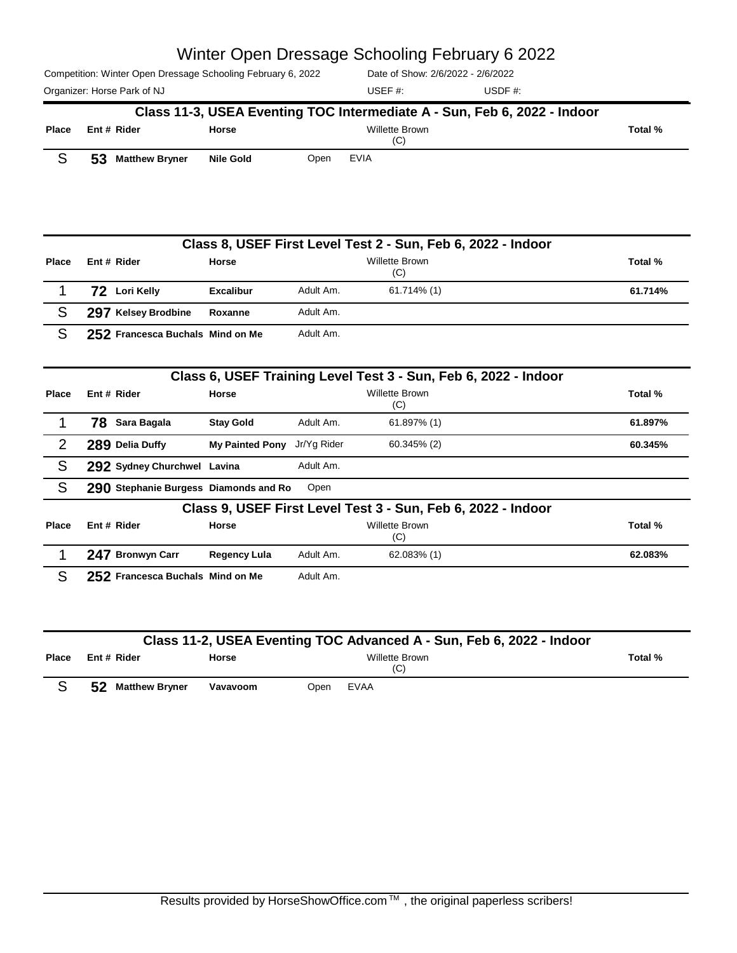| Competition: Winter Open Dressage Schooling February 6, 2022 | Date of Show: 2/6/2022 - 2/6/2022 |            |
|--------------------------------------------------------------|-----------------------------------|------------|
| Organizer: Horse Park of NJ                                  | USEF #:                           | USDF $#$ : |

|                |    |                                           |                        |               | Class 11-3, USEA Eventing TOC Intermediate A - Sun, Feb 6, 2022 - Indoor |         |
|----------------|----|-------------------------------------------|------------------------|---------------|--------------------------------------------------------------------------|---------|
| <b>Place</b>   |    | Ent # Rider                               | Horse                  |               | Willette Brown<br>(C)                                                    | Total % |
| S              | 53 | <b>Matthew Bryner</b>                     | <b>Nile Gold</b>       | Open          | <b>EVIA</b>                                                              |         |
|                |    |                                           |                        |               |                                                                          |         |
|                |    |                                           |                        |               | Class 8, USEF First Level Test 2 - Sun, Feb 6, 2022 - Indoor             |         |
| <b>Place</b>   |    | Ent # Rider                               | <b>Horse</b>           |               | <b>Willette Brown</b><br>(C)                                             | Total % |
| 1              |    | 72 Lori Kelly                             | <b>Excalibur</b>       | Adult Am.     | 61.714% (1)                                                              | 61.714% |
| S              |    | 297 Kelsey Brodbine                       | Roxanne                | Adult Am.     |                                                                          |         |
| S              |    | 252 Francesca Buchals Mind on Me          |                        | Adult Am.     |                                                                          |         |
|                |    |                                           |                        |               | Class 6, USEF Training Level Test 3 - Sun, Feb 6, 2022 - Indoor          |         |
| <b>Place</b>   |    | Ent # Rider                               | Horse                  |               | <b>Willette Brown</b><br>(C)                                             | Total % |
| 1              |    | 78 Sara Bagala                            | <b>Stay Gold</b>       | Adult Am.     | 61.897% (1)                                                              | 61.897% |
| $\overline{2}$ |    | 289 Delia Duffy                           | <b>My Painted Pony</b> | Jr/Yg Rider   | 60.345% (2)                                                              | 60.345% |
| S              |    | 292 Sydney Churchwel Lavina               |                        | Adult Am.     |                                                                          |         |
| S              |    | 290 Stephanie Burgess Diamonds and Ro     |                        | Open          |                                                                          |         |
|                |    |                                           |                        |               | Class 9, USEF First Level Test 3 - Sun, Feb 6, 2022 - Indoor             |         |
| <b>Place</b>   |    | Ent # Rider                               | <b>Horse</b>           |               | Willette Brown<br>(C)                                                    | Total % |
|                |    | 247 Bronwyn Carr                          | <b>Regency Lula</b>    | Adult Am.     | 62.083% (1)                                                              | 62.083% |
| $\mathbf C$    |    | <b>OEO</b> Francesco Duchele, Mind on Me. |                        | $A$ dult $Am$ |                                                                          |         |

S **252 Francesca Buchals Mind on Me** Adult Am.

|       | Class 11-2, USEA Eventing TOC Advanced A - Sun, Feb 6, 2022 - Indoor |              |      |                       |         |  |  |  |  |
|-------|----------------------------------------------------------------------|--------------|------|-----------------------|---------|--|--|--|--|
| Place | Ent # Rider                                                          | <b>Horse</b> |      | Willette Brown<br>(C) | Total % |  |  |  |  |
|       | 52<br><b>Matthew Bryner</b>                                          | Vavavoom     | Open | EVAA                  |         |  |  |  |  |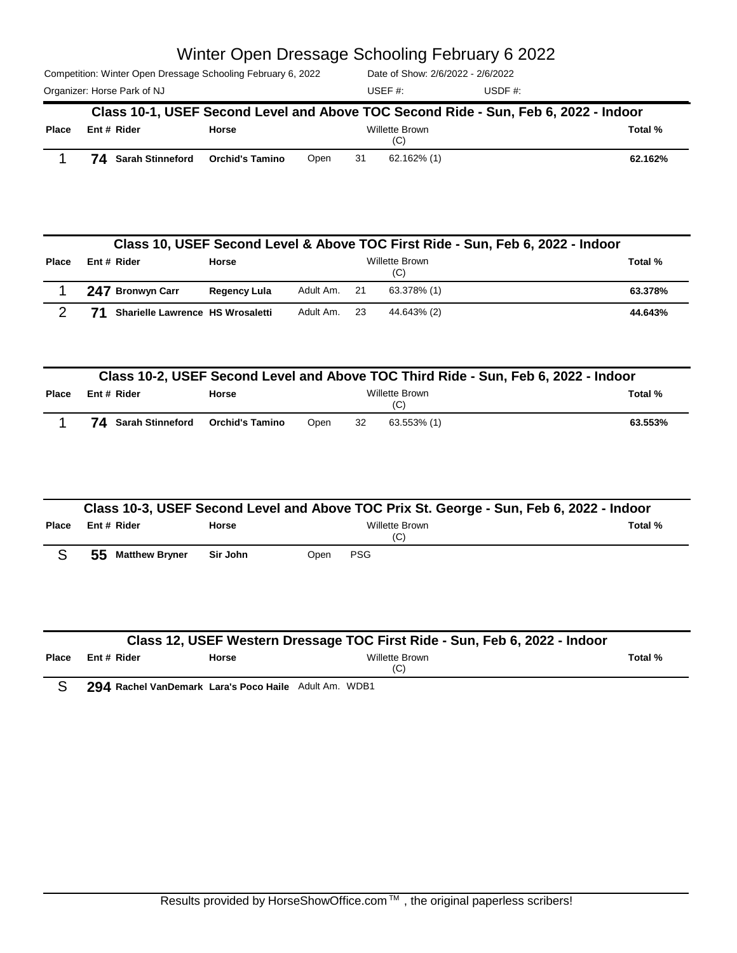|                             | Competition: Winter Open Dressage Schooling February 6, 2022                        | Date of Show: 2/6/2022 - 2/6/2022 |          |
|-----------------------------|-------------------------------------------------------------------------------------|-----------------------------------|----------|
| Organizer: Horse Park of NJ |                                                                                     | USEF $#$ :                        | USDE $#$ |
|                             | Class 10-1, USEF Second Level and Above TOC Second Ride - Sun, Feb 6, 2022 - Indoor |                                   |          |
| Place<br>Ent # Rider        | <b>Horse</b>                                                                        | Willette Brown<br>(C)             | Total %  |

1 **74 Sarah Stinneford Orchid's Tamino** Open <sup>31</sup> 62.162% (1) **62.162%**

|              | Class 10, USEF Second Level & Above TOC First Ride - Sun, Feb 6, 2022 - Indoor |                                  |              |           |      |                              |         |  |  |  |
|--------------|--------------------------------------------------------------------------------|----------------------------------|--------------|-----------|------|------------------------------|---------|--|--|--|
| <b>Place</b> |                                                                                | Ent # Rider                      | <b>Horse</b> |           |      | <b>Willette Brown</b><br>(C) | Total % |  |  |  |
|              |                                                                                | 247 Bronwyn Carr                 | Regency Lula | Adult Am. | - 21 | 63.378% (1)                  | 63.378% |  |  |  |
|              |                                                                                | Sharielle Lawrence HS Wrosaletti |              | Adult Am. | -23  | 44.643% (2)                  | 44.643% |  |  |  |

|              | Class 10-2, USEF Second Level and Above TOC Third Ride - Sun, Feb 6, 2022 - Indoor |                 |      |    |                       |         |  |  |  |
|--------------|------------------------------------------------------------------------------------|-----------------|------|----|-----------------------|---------|--|--|--|
| <b>Place</b> | Ent # Rider                                                                        | <b>Horse</b>    |      |    | Willette Brown<br>(C) | Total % |  |  |  |
|              | 74 Sarah Stinneford                                                                | Orchid's Tamino | Open | 32 | 63.553% (1)           | 63.553% |  |  |  |

|              | Class 10-3, USEF Second Level and Above TOC Prix St. George - Sun, Feb 6, 2022 - Indoor |              |      |                       |         |  |  |  |  |
|--------------|-----------------------------------------------------------------------------------------|--------------|------|-----------------------|---------|--|--|--|--|
| <b>Place</b> | Ent # Rider                                                                             | <b>Horse</b> |      | Willette Brown<br>(C) | Total % |  |  |  |  |
|              | 55<br><b>Matthew Bryner</b>                                                             | Sir John     | Open | <b>PSG</b>            |         |  |  |  |  |

|              | Class 12, USEF Western Dressage TOC First Ride - Sun, Feb 6, 2022 - Indoor |                                                       |                       |         |  |  |  |  |  |
|--------------|----------------------------------------------------------------------------|-------------------------------------------------------|-----------------------|---------|--|--|--|--|--|
| <b>Place</b> | Ent # Rider                                                                | Horse                                                 | Willette Brown<br>(C) | Total % |  |  |  |  |  |
|              |                                                                            | 294 Rachel VanDemark Lara's Poco Haile Adult Am. WDB1 |                       |         |  |  |  |  |  |